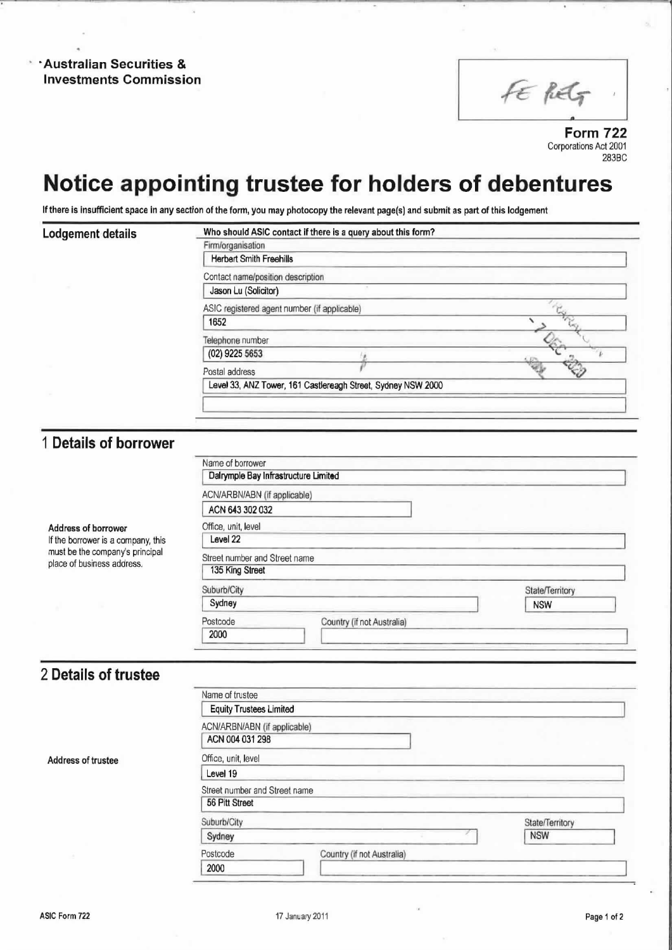\*Australian Securities & Investments Commission

FE REG

Form 722 Corporations Act 2001 283BC 1

### Notice appointing trustee for holders of debentures

If there is insufficient space in any section of the form, you may photocopy the relevant page(s) and submit as part of this lodgement

| Lodgement details | Who should ASIC contact if there is a query about this form? |  |
|-------------------|--------------------------------------------------------------|--|
|                   | Firm/organisation                                            |  |
|                   | <b>Herbert Smith Freehills</b>                               |  |
|                   | Contact name/position description                            |  |
|                   | Jason Lu (Solicitor)                                         |  |
|                   | ASIC registered agent number (if applicable)                 |  |
|                   | 1652                                                         |  |
|                   | Telephone number                                             |  |
|                   | (02) 9225 5653                                               |  |
|                   | Postal address                                               |  |
|                   | Level 33, ANZ Tower, 161 Castlereagh Street, Sydney NSW 2000 |  |
|                   |                                                              |  |

#### <sup>1</sup> Details of borrower

Address of borrower If the borrower is a company, this must be the company's principal<br>place of business address.

| ACN/ARBN/ABN (if applicable)  |                            |                 |
|-------------------------------|----------------------------|-----------------|
| ACN 643 302 032               |                            |                 |
| Office, unit, level           |                            |                 |
| Level 22                      |                            |                 |
| Street number and Street name |                            |                 |
| 135 King Street               |                            |                 |
| Suburb/City                   |                            | State/Territory |
| Sydney                        |                            | <b>NSW</b>      |
| Postcode                      | Country (if not Australia) |                 |
|                               |                            |                 |

#### 2 Details of trustee

|                    | Name of trustee                                 |                            |                 |
|--------------------|-------------------------------------------------|----------------------------|-----------------|
|                    | <b>Equity Trustees Limited</b>                  |                            |                 |
|                    | ACN/ARBN/ABN (if applicable)<br>ACN 004 031 298 |                            |                 |
| Address of trustee | Office, unit, level                             |                            |                 |
|                    | Level 19                                        |                            |                 |
|                    | Street number and Street name<br>56 Pitt Street |                            |                 |
|                    | Suburb/City                                     |                            | State/Territory |
|                    | Sydney                                          |                            | <b>NSW</b>      |
|                    | Postcode                                        | Country (if not Australia) |                 |
|                    | 2000                                            |                            |                 |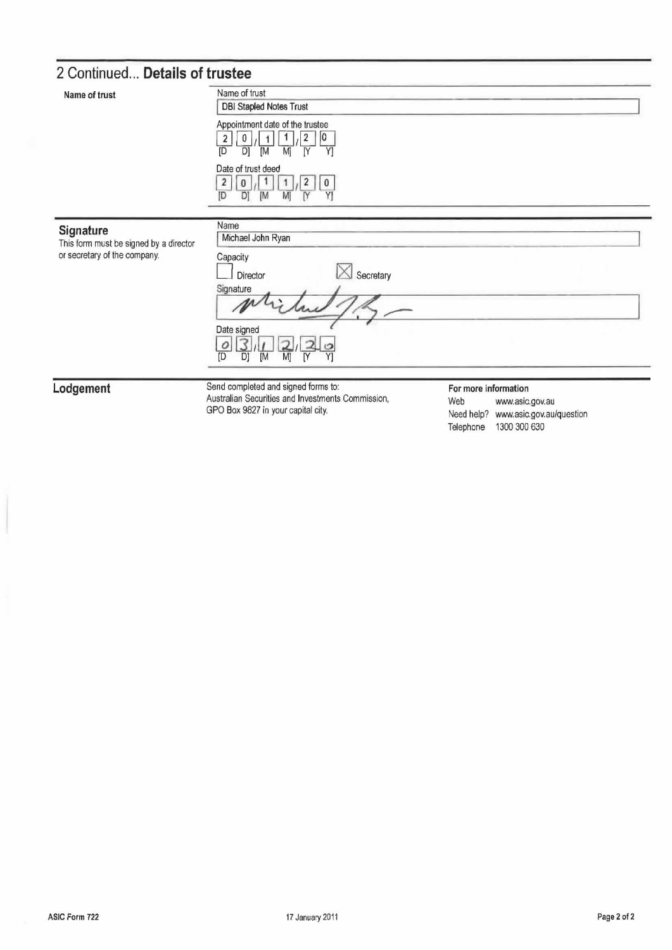### 2 Continued... Details of trustee

| Name of trust                                                                       | Name of trust<br><b>DBI Stapled Notes Trust</b>                                                                        |  |  |
|-------------------------------------------------------------------------------------|------------------------------------------------------------------------------------------------------------------------|--|--|
|                                                                                     | Appointment date of the trustee<br>10<br>$\overline{2}$<br>0<br>D]<br>[M<br>[D<br>Mj<br>ſY<br>Y]                       |  |  |
|                                                                                     | Date of trust deed<br>$\overline{\mathbf{2}}$<br>$\pmb{0}$<br>[M<br>M<br>Y<br>D<br>ſY<br>ID                            |  |  |
| Signature<br>This form must be signed by a director<br>or secretary of the company. | Name<br>Michael John Ryan<br>Capacity<br>Secretary<br>Director<br>Signature<br>Date signed<br>о<br>D)<br>M<br>ſD<br>[M |  |  |

Lodgement

Send completed and signed forms to:<br>Australian Securities and Investments Commission, GPO Box 9827 in your capital city.

For more information

Web www.asic.gov.au Need help? www.asic.gov.au/question Telephone 1300 300 630